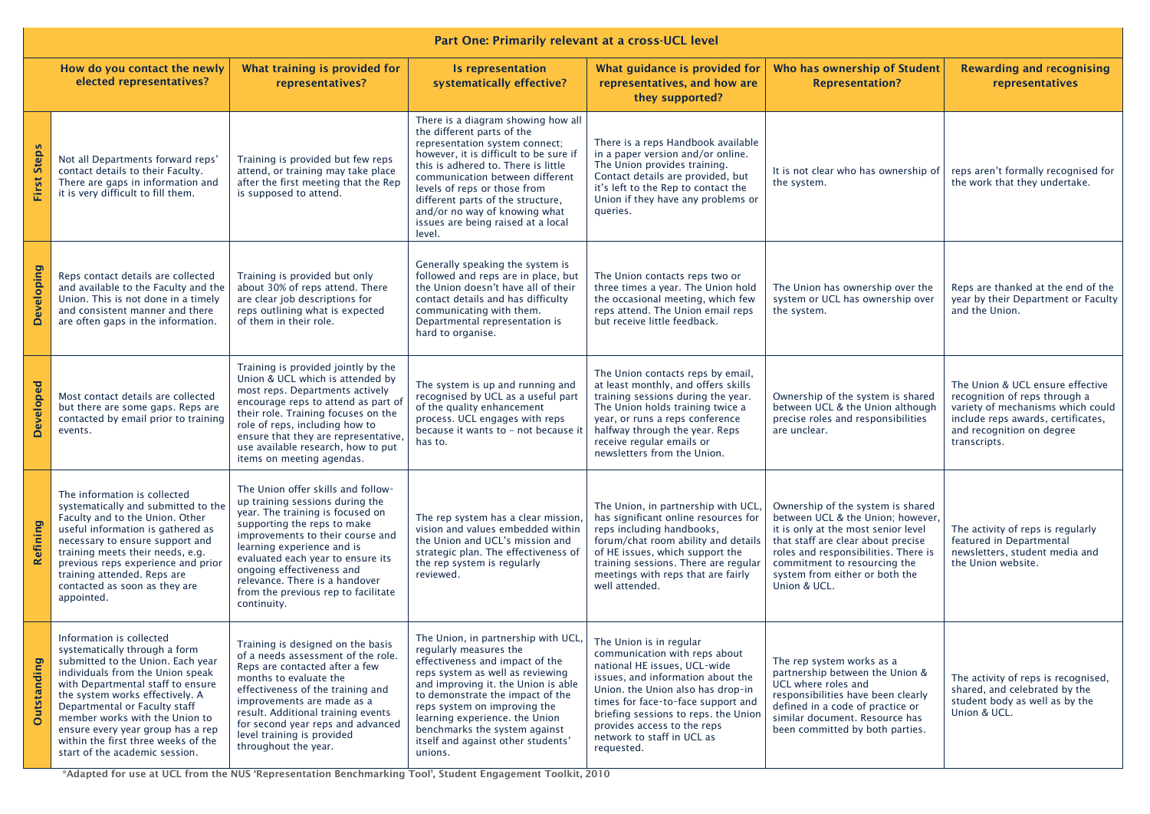| Part One: Primarily relevant at a cross-UCL level |                                                                                                                                                                                                                                                                                                                                                                                             |                                                                                                                                                                                                                                                                                                                                                                      |                                                                                                                                                                                                                                                                                                                                                                              |                                                                                                                                                                                                                                                                                                                             |                                                                                                                                                                                                                                                                               |                                                                                                                                                                                           |  |  |  |  |
|---------------------------------------------------|---------------------------------------------------------------------------------------------------------------------------------------------------------------------------------------------------------------------------------------------------------------------------------------------------------------------------------------------------------------------------------------------|----------------------------------------------------------------------------------------------------------------------------------------------------------------------------------------------------------------------------------------------------------------------------------------------------------------------------------------------------------------------|------------------------------------------------------------------------------------------------------------------------------------------------------------------------------------------------------------------------------------------------------------------------------------------------------------------------------------------------------------------------------|-----------------------------------------------------------------------------------------------------------------------------------------------------------------------------------------------------------------------------------------------------------------------------------------------------------------------------|-------------------------------------------------------------------------------------------------------------------------------------------------------------------------------------------------------------------------------------------------------------------------------|-------------------------------------------------------------------------------------------------------------------------------------------------------------------------------------------|--|--|--|--|
|                                                   | How do you contact the newly<br>elected representatives?                                                                                                                                                                                                                                                                                                                                    | What training is provided for<br>representatives?                                                                                                                                                                                                                                                                                                                    | Is representation<br>systematically effective?                                                                                                                                                                                                                                                                                                                               | What guidance is provided for<br>representatives, and how are<br>they supported?                                                                                                                                                                                                                                            | Who has ownership of Student<br><b>Representation?</b>                                                                                                                                                                                                                        | <b>Rewarding and recognising</b><br>representatives                                                                                                                                       |  |  |  |  |
| <b>First Steps</b>                                | Not all Departments forward reps'<br>contact details to their Faculty.<br>There are gaps in information and<br>it is very difficult to fill them.                                                                                                                                                                                                                                           | Training is provided but few reps<br>attend, or training may take place<br>after the first meeting that the Rep<br>is supposed to attend.                                                                                                                                                                                                                            | There is a diagram showing how all<br>the different parts of the<br>representation system connect;<br>however, it is difficult to be sure if<br>this is adhered to. There is little<br>communication between different<br>levels of reps or those from<br>different parts of the structure,<br>and/or no way of knowing what<br>issues are being raised at a local<br>level. | There is a reps Handbook available<br>in a paper version and/or online.<br>The Union provides training.<br>Contact details are provided, but<br>it's left to the Rep to contact the<br>Union if they have any problems or<br>queries.                                                                                       | It is not clear who has ownership of<br>the system.                                                                                                                                                                                                                           | reps aren't formally recognised for<br>the work that they undertake.                                                                                                                      |  |  |  |  |
| Developing                                        | Reps contact details are collected<br>and available to the Faculty and the<br>Union. This is not done in a timely<br>and consistent manner and there<br>are often gaps in the information.                                                                                                                                                                                                  | Training is provided but only<br>about 30% of reps attend. There<br>are clear job descriptions for<br>reps outlining what is expected<br>of them in their role.                                                                                                                                                                                                      | Generally speaking the system is<br>followed and reps are in place, but<br>the Union doesn't have all of their<br>contact details and has difficulty<br>communicating with them.<br>Departmental representation is<br>hard to organise.                                                                                                                                      | The Union contacts reps two or<br>three times a year. The Union hold<br>the occasional meeting, which few<br>reps attend. The Union email reps<br>but receive little feedback.                                                                                                                                              | The Union has ownership over the<br>system or UCL has ownership over<br>the system.                                                                                                                                                                                           | Reps are thanked at the end of the<br>year by their Department or Faculty<br>and the Union.                                                                                               |  |  |  |  |
| Developed                                         | Most contact details are collected<br>but there are some gaps. Reps are<br>contacted by email prior to training<br>events.                                                                                                                                                                                                                                                                  | Training is provided jointly by the<br>Union & UCL which is attended by<br>most reps. Departments actively<br>encourage reps to attend as part of<br>their role. Training focuses on the<br>role of reps, including how to<br>ensure that they are representative,<br>use available research, how to put<br>items on meeting agendas.                                | The system is up and running and<br>recognised by UCL as a useful part<br>of the quality enhancement<br>process. UCL engages with reps<br>because it wants to - not because it<br>has to.                                                                                                                                                                                    | The Union contacts reps by email,<br>at least monthly, and offers skills<br>training sessions during the year.<br>The Union holds training twice a<br>year, or runs a reps conference<br>halfway through the year. Reps<br>receive regular emails or<br>newsletters from the Union.                                         | Ownership of the system is shared<br>between UCL & the Union although<br>precise roles and responsibilities<br>are unclear.                                                                                                                                                   | The Union & UCL ensure effective<br>recognition of reps through a<br>variety of mechanisms which could<br>include reps awards, certificates,<br>and recognition on degree<br>transcripts. |  |  |  |  |
| Refining                                          | The information is collected<br>systematically and submitted to the<br>Faculty and to the Union. Other<br>useful information is gathered as<br>necessary to ensure support and<br>training meets their needs, e.g.<br>previous reps experience and prior<br>training attended. Reps are<br>contacted as soon as they are<br>appointed.                                                      | The Union offer skills and follow-<br>up training sessions during the<br>year. The training is focused on<br>supporting the reps to make<br>improvements to their course and<br>learning experience and is<br>evaluated each year to ensure its<br>ongoing effectiveness and<br>relevance. There is a handover<br>from the previous rep to facilitate<br>continuity. | The rep system has a clear mission,<br>vision and values embedded within<br>the Union and UCL's mission and<br>strategic plan. The effectiveness of<br>the rep system is regularly<br>reviewed.                                                                                                                                                                              | The Union, in partnership with UCL<br>has significant online resources for<br>reps including handbooks,<br>forum/chat room ability and details<br>of HE issues, which support the<br>training sessions. There are regular<br>meetings with reps that are fairly<br>well attended.                                           | Ownership of the system is shared<br>between UCL & the Union; however,<br>it is only at the most senior level<br>that staff are clear about precise<br>roles and responsibilities. There is<br>commitment to resourcing the<br>system from either or both the<br>Union & UCL. | The activity of reps is regularly<br>featured in Departmental<br>newsletters, student media and<br>the Union website.                                                                     |  |  |  |  |
| <b>Outstanding</b>                                | Information is collected<br>systematically through a form<br>submitted to the Union. Each year<br>individuals from the Union speak<br>with Departmental staff to ensure<br>the system works effectively. A<br>Departmental or Faculty staff<br>member works with the Union to<br>ensure every year group has a rep<br>within the first three weeks of the<br>start of the academic session. | Training is designed on the basis<br>of a needs assessment of the role.<br>Reps are contacted after a few<br>months to evaluate the<br>effectiveness of the training and<br>improvements are made as a<br>result. Additional training events<br>for second year reps and advanced<br>level training is provided<br>throughout the year.                              | The Union, in partnership with UCL,<br>regularly measures the<br>effectiveness and impact of the<br>reps system as well as reviewing<br>and improving it. the Union is able<br>to demonstrate the impact of the<br>reps system on improving the<br>learning experience. the Union<br>benchmarks the system against<br>itself and against other students'<br>unions.          | The Union is in regular<br>communication with reps about<br>national HE issues, UCL-wide<br>issues, and information about the<br>Union. the Union also has drop-in<br>times for face-to-face support and<br>briefing sessions to reps. the Union<br>provides access to the reps<br>network to staff in UCL as<br>requested. | The rep system works as a<br>partnership between the Union &<br>UCL where roles and<br>responsibilities have been clearly<br>defined in a code of practice or<br>similar document. Resource has<br>been committed by both parties.                                            | The activity of reps is recognised,<br>shared, and celebrated by the<br>student body as well as by the<br>Union & UCL.                                                                    |  |  |  |  |

\*Adapted for use at UCL from the NUS 'Representation Benchmarking Tool', Student Engagement Toolkit, 2010